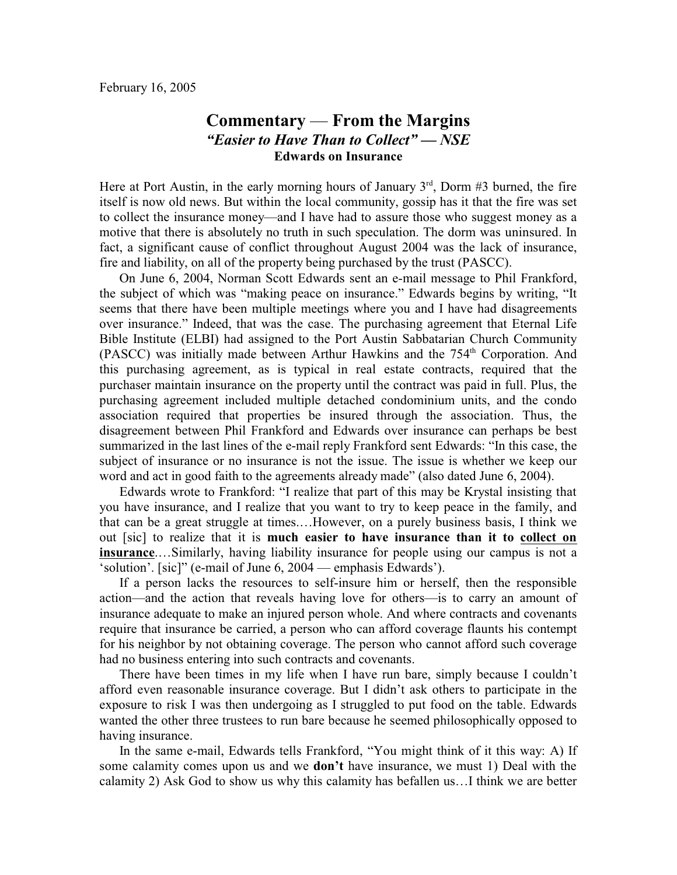## **Commentary** — **From the Margins** *"Easier to Have Than to Collect" — NSE* **Edwards on Insurance**

Here at Port Austin, in the early morning hours of January  $3<sup>rd</sup>$ , Dorm #3 burned, the fire itself is now old news. But within the local community, gossip has it that the fire was set to collect the insurance money—and I have had to assure those who suggest money as a motive that there is absolutely no truth in such speculation. The dorm was uninsured. In fact, a significant cause of conflict throughout August 2004 was the lack of insurance, fire and liability, on all of the property being purchased by the trust (PASCC).

On June 6, 2004, Norman Scott Edwards sent an e-mail message to Phil Frankford, the subject of which was "making peace on insurance." Edwards begins by writing, "It seems that there have been multiple meetings where you and I have had disagreements over insurance." Indeed, that was the case. The purchasing agreement that Eternal Life Bible Institute (ELBI) had assigned to the Port Austin Sabbatarian Church Community (PASCC) was initially made between Arthur Hawkins and the  $754<sup>th</sup>$  Corporation. And this purchasing agreement, as is typical in real estate contracts, required that the purchaser maintain insurance on the property until the contract was paid in full. Plus, the purchasing agreement included multiple detached condominium units, and the condo association required that properties be insured through the association. Thus, the disagreement between Phil Frankford and Edwards over insurance can perhaps be best summarized in the last lines of the e-mail reply Frankford sent Edwards: "In this case, the subject of insurance or no insurance is not the issue. The issue is whether we keep our word and act in good faith to the agreements already made" (also dated June 6, 2004).

Edwards wrote to Frankford: "I realize that part of this may be Krystal insisting that you have insurance, and I realize that you want to try to keep peace in the family, and that can be a great struggle at times.…However, on a purely business basis, I think we out [sic] to realize that it is **much easier to have insurance than it to collect on insurance**.…Similarly, having liability insurance for people using our campus is not a 'solution'. [sic]" (e-mail of June 6, 2004 — emphasis Edwards').

If a person lacks the resources to self-insure him or herself, then the responsible action—and the action that reveals having love for others—is to carry an amount of insurance adequate to make an injured person whole. And where contracts and covenants require that insurance be carried, a person who can afford coverage flaunts his contempt for his neighbor by not obtaining coverage. The person who cannot afford such coverage had no business entering into such contracts and covenants.

There have been times in my life when I have run bare, simply because I couldn't afford even reasonable insurance coverage. But I didn't ask others to participate in the exposure to risk I was then undergoing as I struggled to put food on the table. Edwards wanted the other three trustees to run bare because he seemed philosophically opposed to having insurance.

In the same e-mail, Edwards tells Frankford, "You might think of it this way: A) If some calamity comes upon us and we **don't** have insurance, we must 1) Deal with the calamity 2) Ask God to show us why this calamity has befallen us…I think we are better